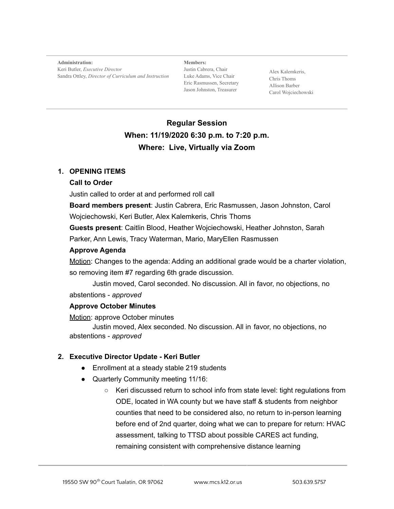**Administration:** Keri Butler, *Executive Director* Sandra Ottley, *Director of Curriculum and Instruction*

**Members:** Justin Cabrera, Chair Luke Adams, Vice Chair Eric Rasmussen, Secretary Jason Johnston, Treasurer

Alex Kalemkeris, Chris Thoms Allison Barber Carol Wojciechowski

# **Regular Session When: 11/19/2020 6:30 p.m. to 7:20 p.m. Where: Live, Virtually via Zoom**

#### **1. OPENING ITEMS**

#### **Call to Order**

Justin called to order at and performed roll call

**Board members present**: Justin Cabrera, Eric Rasmussen, Jason Johnston, Carol Wojciechowski, Keri Butler, Alex Kalemkeris, Chris Thoms

**Guests present**: Caitlin Blood, Heather Wojciechowski, Heather Johnston, Sarah Parker, Ann Lewis, Tracy Waterman, Mario, MaryEllen Rasmussen

#### **Approve Agenda**

Motion: Changes to the agenda: Adding an additional grade would be a charter violation, so removing item #7 regarding 6th grade discussion.

Justin moved, Carol seconded. No discussion. All in favor, no objections, no abstentions - *approved*

## **Approve October Minutes**

Motion: approve October minutes

Justin moved, Alex seconded. No discussion. All in favor, no objections, no abstentions - *approved*

## **2. Executive Director Update - Keri Butler**

- Enrollment at a steady stable 219 students
- Quarterly Community meeting 11/16:
	- Keri discussed return to school info from state level: tight regulations from ODE, located in WA county but we have staff & students from neighbor counties that need to be considered also, no return to in-person learning before end of 2nd quarter, doing what we can to prepare for return: HVAC assessment, talking to TTSD about possible CARES act funding, remaining consistent with comprehensive distance learning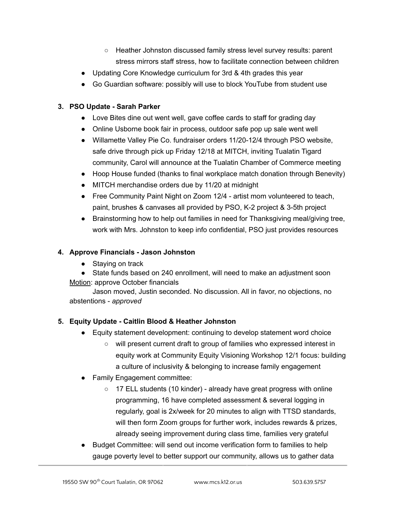- Heather Johnston discussed family stress level survey results: parent stress mirrors staff stress, how to facilitate connection between children
- Updating Core Knowledge curriculum for 3rd & 4th grades this year
- Go Guardian software: possibly will use to block YouTube from student use

## **3. PSO Update - Sarah Parker**

- Love Bites dine out went well, gave coffee cards to staff for grading day
- Online Usborne book fair in process, outdoor safe pop up sale went well
- Willamette Valley Pie Co. fundraiser orders 11/20-12/4 through PSO website, safe drive through pick up Friday 12/18 at MITCH, inviting Tualatin Tigard community, Carol will announce at the Tualatin Chamber of Commerce meeting
- Hoop House funded (thanks to final workplace match donation through Benevity)
- MITCH merchandise orders due by 11/20 at midnight
- Free Community Paint Night on Zoom 12/4 artist mom volunteered to teach, paint, brushes & canvases all provided by PSO, K-2 project & 3-5th project
- Brainstorming how to help out families in need for Thanksgiving meal/giving tree, work with Mrs. Johnston to keep info confidential, PSO just provides resources

## **4. Approve Financials - Jason Johnston**

- Staying on track
- State funds based on 240 enrollment, will need to make an adjustment soon
- Motion: approve October financials

Jason moved, Justin seconded. No discussion. All in favor, no objections, no abstentions - *approved*

# **5. Equity Update - Caitlin Blood & Heather Johnston**

- Equity statement development: continuing to develop statement word choice
	- will present current draft to group of families who expressed interest in equity work at Community Equity Visioning Workshop 12/1 focus: building a culture of inclusivity & belonging to increase family engagement
- Family Engagement committee:
	- 17 ELL students (10 kinder) already have great progress with online programming, 16 have completed assessment & several logging in regularly, goal is 2x/week for 20 minutes to align with TTSD standards, will then form Zoom groups for further work, includes rewards & prizes, already seeing improvement during class time, families very grateful
- Budget Committee: will send out income verification form to families to help gauge poverty level to better support our community, allows us to gather data